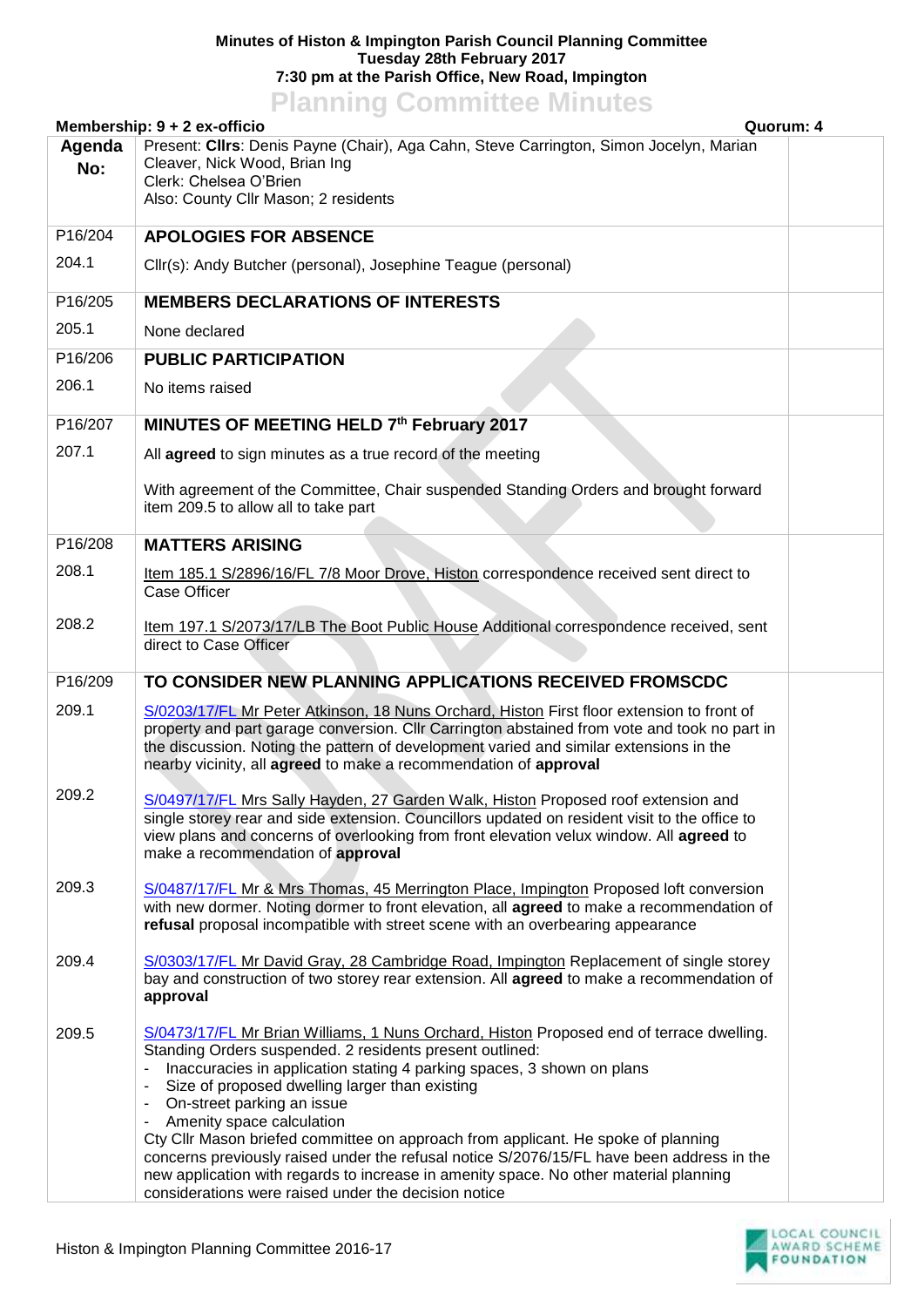## **Minutes of Histon & Impington Parish Council Planning Committee Tuesday 28th February 2017 7:30 pm at the Parish Office, New Road, Impington**

## **Planning Committee Minutes**

| Membership: 9 + 2 ex-officio<br>Quorum: 4 |                                                                                                                                                                                                                                                                                                                                                                                                                                                                                                                                                                                                                                                                                |  |
|-------------------------------------------|--------------------------------------------------------------------------------------------------------------------------------------------------------------------------------------------------------------------------------------------------------------------------------------------------------------------------------------------------------------------------------------------------------------------------------------------------------------------------------------------------------------------------------------------------------------------------------------------------------------------------------------------------------------------------------|--|
| Agenda<br>No:                             | Present: Cllrs: Denis Payne (Chair), Aga Cahn, Steve Carrington, Simon Jocelyn, Marian<br>Cleaver, Nick Wood, Brian Ing<br>Clerk: Chelsea O'Brien<br>Also: County Cllr Mason; 2 residents                                                                                                                                                                                                                                                                                                                                                                                                                                                                                      |  |
| P16/204                                   | <b>APOLOGIES FOR ABSENCE</b>                                                                                                                                                                                                                                                                                                                                                                                                                                                                                                                                                                                                                                                   |  |
| 204.1                                     | Cllr(s): Andy Butcher (personal), Josephine Teague (personal)                                                                                                                                                                                                                                                                                                                                                                                                                                                                                                                                                                                                                  |  |
| P16/205                                   | <b>MEMBERS DECLARATIONS OF INTERESTS</b>                                                                                                                                                                                                                                                                                                                                                                                                                                                                                                                                                                                                                                       |  |
| 205.1                                     | None declared                                                                                                                                                                                                                                                                                                                                                                                                                                                                                                                                                                                                                                                                  |  |
| P16/206                                   | <b>PUBLIC PARTICIPATION</b>                                                                                                                                                                                                                                                                                                                                                                                                                                                                                                                                                                                                                                                    |  |
| 206.1                                     | No items raised                                                                                                                                                                                                                                                                                                                                                                                                                                                                                                                                                                                                                                                                |  |
| P16/207                                   | MINUTES OF MEETING HELD 7th February 2017                                                                                                                                                                                                                                                                                                                                                                                                                                                                                                                                                                                                                                      |  |
| 207.1                                     | All agreed to sign minutes as a true record of the meeting                                                                                                                                                                                                                                                                                                                                                                                                                                                                                                                                                                                                                     |  |
|                                           | With agreement of the Committee, Chair suspended Standing Orders and brought forward<br>item 209.5 to allow all to take part                                                                                                                                                                                                                                                                                                                                                                                                                                                                                                                                                   |  |
| P16/208                                   | <b>MATTERS ARISING</b>                                                                                                                                                                                                                                                                                                                                                                                                                                                                                                                                                                                                                                                         |  |
| 208.1                                     | Item 185.1 S/2896/16/FL 7/8 Moor Drove, Histon correspondence received sent direct to<br>Case Officer                                                                                                                                                                                                                                                                                                                                                                                                                                                                                                                                                                          |  |
| 208.2                                     | Item 197.1 S/2073/17/LB The Boot Public House Additional correspondence received, sent<br>direct to Case Officer                                                                                                                                                                                                                                                                                                                                                                                                                                                                                                                                                               |  |
| P16/209                                   | TO CONSIDER NEW PLANNING APPLICATIONS RECEIVED FROMSCDC                                                                                                                                                                                                                                                                                                                                                                                                                                                                                                                                                                                                                        |  |
| 209.1                                     | S/0203/17/FL Mr Peter Atkinson, 18 Nuns Orchard, Histon First floor extension to front of<br>property and part garage conversion. Cllr Carrington abstained from vote and took no part in<br>the discussion. Noting the pattern of development varied and similar extensions in the<br>nearby vicinity, all agreed to make a recommendation of approval                                                                                                                                                                                                                                                                                                                        |  |
| 209.2                                     | S/0497/17/FL Mrs Sally Hayden, 27 Garden Walk, Histon Proposed roof extension and<br>single storey rear and side extension. Councillors updated on resident visit to the office to<br>view plans and concerns of overlooking from front elevation velux window. All agreed to<br>make a recommendation of approval                                                                                                                                                                                                                                                                                                                                                             |  |
| 209.3                                     | S/0487/17/FL Mr & Mrs Thomas, 45 Merrington Place, Impington Proposed loft conversion<br>with new dormer. Noting dormer to front elevation, all agreed to make a recommendation of<br>refusal proposal incompatible with street scene with an overbearing appearance                                                                                                                                                                                                                                                                                                                                                                                                           |  |
| 209.4                                     | S/0303/17/FL Mr David Gray, 28 Cambridge Road, Impington Replacement of single storey<br>bay and construction of two storey rear extension. All agreed to make a recommendation of<br>approval                                                                                                                                                                                                                                                                                                                                                                                                                                                                                 |  |
| 209.5                                     | S/0473/17/FL Mr Brian Williams, 1 Nuns Orchard, Histon Proposed end of terrace dwelling.<br>Standing Orders suspended. 2 residents present outlined:<br>Inaccuracies in application stating 4 parking spaces, 3 shown on plans<br>Size of proposed dwelling larger than existing<br>On-street parking an issue<br>Amenity space calculation<br>Cty Cllr Mason briefed committee on approach from applicant. He spoke of planning<br>concerns previously raised under the refusal notice S/2076/15/FL have been address in the<br>new application with regards to increase in amenity space. No other material planning<br>considerations were raised under the decision notice |  |